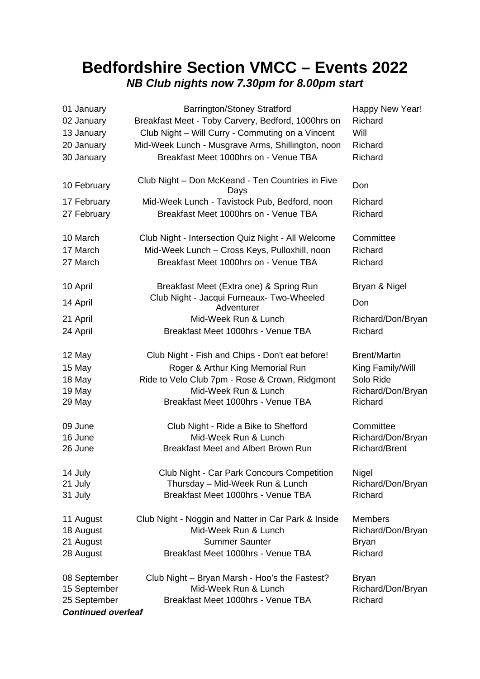## **Bedfordshire Section VMCC – Events 2022** *NB Club nights now 7.30pm for 8.00pm start*

| 01 January                | <b>Barrington/Stoney Stratford</b>                       | Happy New Year!      |
|---------------------------|----------------------------------------------------------|----------------------|
| 02 January                | Breakfast Meet - Toby Carvery, Bedford, 1000hrs on       | Richard              |
| 13 January                | Club Night - Will Curry - Commuting on a Vincent         | Will                 |
| 20 January                | Mid-Week Lunch - Musgrave Arms, Shillington, noon        | Richard              |
| 30 January                | Breakfast Meet 1000hrs on - Venue TBA                    | Richard              |
| 10 February               | Club Night - Don McKeand - Ten Countries in Five<br>Days | Don                  |
| 17 February               | Mid-Week Lunch - Tavistock Pub, Bedford, noon            | Richard              |
| 27 February               | Breakfast Meet 1000hrs on - Venue TBA                    | Richard              |
| 10 March                  | Club Night - Intersection Quiz Night - All Welcome       | Committee            |
| 17 March                  | Mid-Week Lunch - Cross Keys, Pulloxhill, noon            | Richard              |
| 27 March                  | Breakfast Meet 1000hrs on - Venue TBA                    | Richard              |
| 10 April                  | Breakfast Meet (Extra one) & Spring Run                  | Bryan & Nigel        |
| 14 April                  | Club Night - Jacqui Furneaux- Two-Wheeled<br>Adventurer  | Don                  |
| 21 April                  | Mid-Week Run & Lunch                                     | Richard/Don/Bryan    |
| 24 April                  | Breakfast Meet 1000hrs - Venue TBA                       | Richard              |
| 12 May                    | Club Night - Fish and Chips - Don't eat before!          | <b>Brent/Martin</b>  |
| 15 May                    | Roger & Arthur King Memorial Run                         | King Family/Will     |
| 18 May                    | Ride to Velo Club 7pm - Rose & Crown, Ridgmont           | Solo Ride            |
| 19 May                    | Mid-Week Run & Lunch                                     | Richard/Don/Bryan    |
| 29 May                    | Breakfast Meet 1000hrs - Venue TBA                       | Richard              |
| 09 June                   | Club Night - Ride a Bike to Shefford                     | Committee            |
| 16 June                   | Mid-Week Run & Lunch                                     | Richard/Don/Bryan    |
| 26 June                   | Breakfast Meet and Albert Brown Run                      | <b>Richard/Brent</b> |
| 14 July                   | Club Night - Car Park Concours Competition               | Nigel                |
| 21 July                   | Thursday - Mid-Week Run & Lunch                          | Richard/Don/Bryan    |
| 31 July                   | Breakfast Meet 1000hrs - Venue TBA                       | Richard              |
| 11 August                 | Club Night - Noggin and Natter in Car Park & Inside      | <b>Members</b>       |
| 18 August                 | Mid-Week Run & Lunch                                     | Richard/Don/Bryan    |
| 21 August                 | <b>Summer Saunter</b>                                    | Bryan                |
| 28 August                 | Breakfast Meet 1000hrs - Venue TBA                       | Richard              |
| 08 September              | Club Night - Bryan Marsh - Hoo's the Fastest?            | Bryan                |
| 15 September              | Mid-Week Run & Lunch                                     | Richard/Don/Bryan    |
| 25 September              | Breakfast Meet 1000hrs - Venue TBA                       | Richard              |
| <b>Continued overleaf</b> |                                                          |                      |